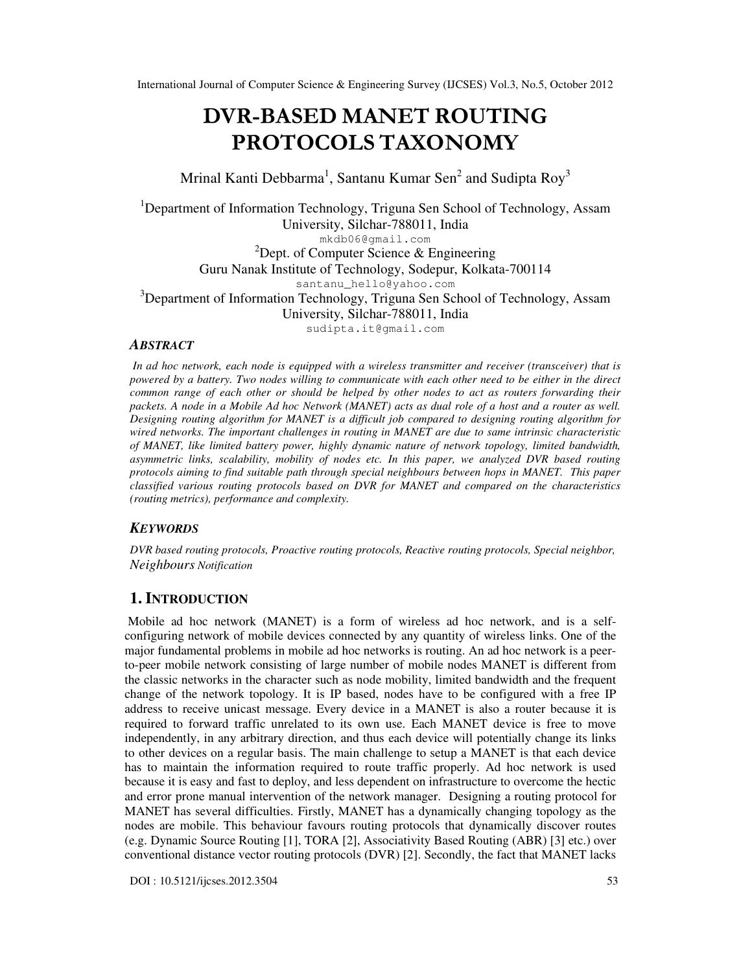# DVR-BASED MANET ROUTING PROTOCOLS TAXONOMY

Mrinal Kanti Debbarma<sup>1</sup>, Santanu Kumar Sen<sup>2</sup> and Sudipta Roy<sup>3</sup>

<sup>1</sup>Department of Information Technology, Triguna Sen School of Technology, Assam University, Silchar-788011, India mkdb06@gmail.com <sup>2</sup>Dept. of Computer Science  $\&$  Engineering Guru Nanak Institute of Technology, Sodepur, Kolkata-700114 santanu\_hello@yahoo.com <sup>3</sup>Department of Information Technology, Triguna Sen School of Technology, Assam University, Silchar-788011, India sudipta.it@gmail.com

# *ABSTRACT*

 *In ad hoc network, each node is equipped with a wireless transmitter and receiver (transceiver) that is powered by a battery. Two nodes willing to communicate with each other need to be either in the direct common range of each other or should be helped by other nodes to act as routers forwarding their packets. A node in a Mobile Ad hoc Network (MANET) acts as dual role of a host and a router as well. Designing routing algorithm for MANET is a difficult job compared to designing routing algorithm for wired networks. The important challenges in routing in MANET are due to same intrinsic characteristic of MANET, like limited battery power, highly dynamic nature of network topology, limited bandwidth, asymmetric links, scalability, mobility of nodes etc. In this paper, we analyzed DVR based routing protocols aiming to find suitable path through special neighbours between hops in MANET. This paper classified various routing protocols based on DVR for MANET and compared on the characteristics (routing metrics), performance and complexity.* 

### *KEYWORDS*

*DVR based routing protocols, Proactive routing protocols, Reactive routing protocols, Special neighbor, Neighbours Notification* 

### **1. INTRODUCTION**

 Mobile ad hoc network (MANET) is a form of wireless ad hoc network, and is a selfconfiguring network of mobile devices connected by any quantity of wireless links. One of the major fundamental problems in mobile ad hoc networks is routing. An ad hoc network is a peerto-peer mobile network consisting of large number of mobile nodes MANET is different from the classic networks in the character such as node mobility, limited bandwidth and the frequent change of the network topology. It is IP based, nodes have to be configured with a free IP address to receive unicast message. Every device in a MANET is also a router because it is required to forward traffic unrelated to its own use. Each MANET device is free to move independently, in any arbitrary direction, and thus each device will potentially change its links to other devices on a regular basis. The main challenge to setup a MANET is that each device has to maintain the information required to route traffic properly. Ad hoc network is used because it is easy and fast to deploy, and less dependent on infrastructure to overcome the hectic and error prone manual intervention of the network manager. Designing a routing protocol for MANET has several difficulties. Firstly, MANET has a dynamically changing topology as the nodes are mobile. This behaviour favours routing protocols that dynamically discover routes (e.g. Dynamic Source Routing [1], TORA [2], Associativity Based Routing (ABR) [3] etc.) over conventional distance vector routing protocols (DVR) [2]. Secondly, the fact that MANET lacks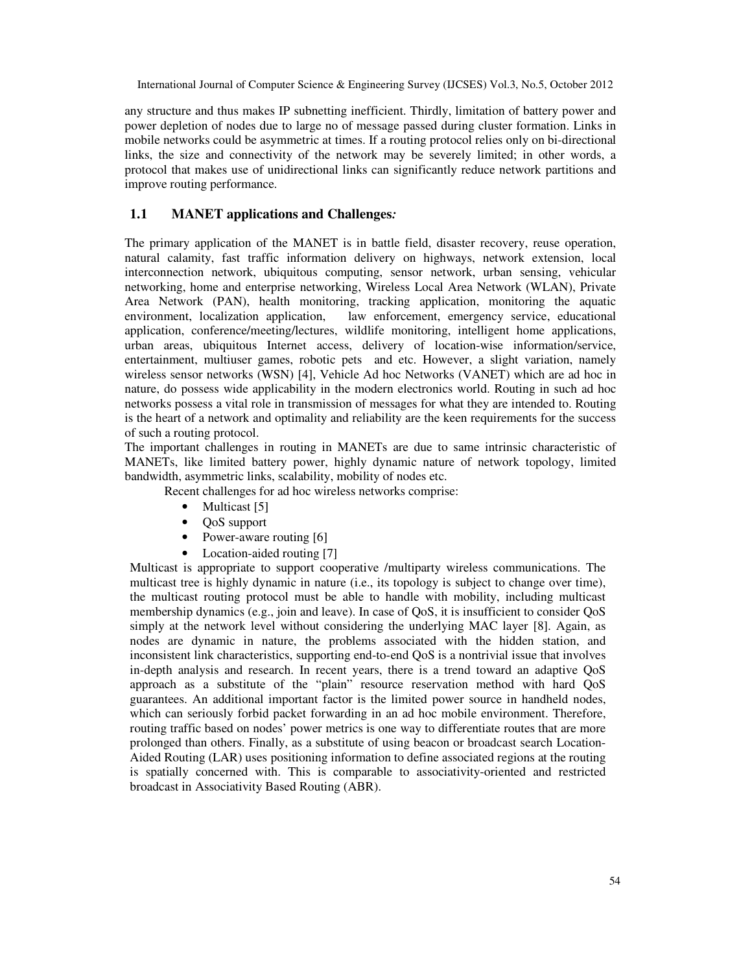any structure and thus makes IP subnetting inefficient. Thirdly, limitation of battery power and power depletion of nodes due to large no of message passed during cluster formation. Links in mobile networks could be asymmetric at times. If a routing protocol relies only on bi-directional links, the size and connectivity of the network may be severely limited; in other words, a protocol that makes use of unidirectional links can significantly reduce network partitions and improve routing performance.

### **1.1 MANET applications and Challenges***:*

The primary application of the MANET is in battle field, disaster recovery, reuse operation, natural calamity, fast traffic information delivery on highways, network extension, local interconnection network, ubiquitous computing, sensor network, urban sensing, vehicular networking, home and enterprise networking, Wireless Local Area Network (WLAN), Private Area Network (PAN), health monitoring, tracking application, monitoring the aquatic environment, localization application, law enforcement, emergency service, educational application, conference/meeting/lectures, wildlife monitoring, intelligent home applications, urban areas, ubiquitous Internet access, delivery of location-wise information/service, entertainment, multiuser games, robotic pets and etc. However, a slight variation, namely wireless sensor networks (WSN) [4], Vehicle Ad hoc Networks (VANET) which are ad hoc in nature, do possess wide applicability in the modern electronics world. Routing in such ad hoc networks possess a vital role in transmission of messages for what they are intended to. Routing is the heart of a network and optimality and reliability are the keen requirements for the success of such a routing protocol.

The important challenges in routing in MANETs are due to same intrinsic characteristic of MANETs, like limited battery power, highly dynamic nature of network topology, limited bandwidth, asymmetric links, scalability, mobility of nodes etc.

Recent challenges for ad hoc wireless networks comprise:

- Multicast [5]
- QoS support
- Power-aware routing [6]
- Location-aided routing [7]

Multicast is appropriate to support cooperative /multiparty wireless communications. The multicast tree is highly dynamic in nature (i.e., its topology is subject to change over time), the multicast routing protocol must be able to handle with mobility, including multicast membership dynamics (e.g., join and leave). In case of QoS, it is insufficient to consider QoS simply at the network level without considering the underlying MAC layer [8]. Again, as nodes are dynamic in nature, the problems associated with the hidden station, and inconsistent link characteristics, supporting end-to-end QoS is a nontrivial issue that involves in-depth analysis and research. In recent years, there is a trend toward an adaptive QoS approach as a substitute of the "plain" resource reservation method with hard QoS guarantees. An additional important factor is the limited power source in handheld nodes, which can seriously forbid packet forwarding in an ad hoc mobile environment. Therefore, routing traffic based on nodes' power metrics is one way to differentiate routes that are more prolonged than others. Finally, as a substitute of using beacon or broadcast search Location-Aided Routing (LAR) uses positioning information to define associated regions at the routing is spatially concerned with. This is comparable to associativity-oriented and restricted broadcast in Associativity Based Routing (ABR).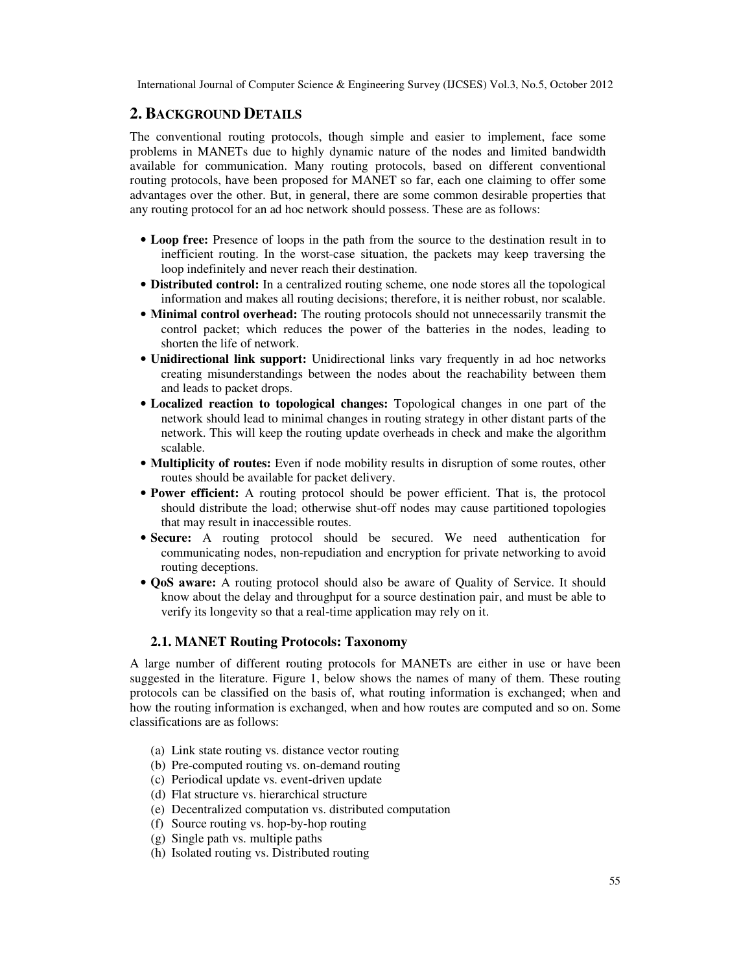# **2. BACKGROUND DETAILS**

The conventional routing protocols, though simple and easier to implement, face some problems in MANETs due to highly dynamic nature of the nodes and limited bandwidth available for communication. Many routing protocols, based on different conventional routing protocols, have been proposed for MANET so far, each one claiming to offer some advantages over the other. But, in general, there are some common desirable properties that any routing protocol for an ad hoc network should possess. These are as follows:

- **Loop free:** Presence of loops in the path from the source to the destination result in to inefficient routing. In the worst-case situation, the packets may keep traversing the loop indefinitely and never reach their destination.
- **Distributed control:** In a centralized routing scheme, one node stores all the topological information and makes all routing decisions; therefore, it is neither robust, nor scalable.
- **Minimal control overhead:** The routing protocols should not unnecessarily transmit the control packet; which reduces the power of the batteries in the nodes, leading to shorten the life of network.
- **Unidirectional link support:** Unidirectional links vary frequently in ad hoc networks creating misunderstandings between the nodes about the reachability between them and leads to packet drops.
- **Localized reaction to topological changes:** Topological changes in one part of the network should lead to minimal changes in routing strategy in other distant parts of the network. This will keep the routing update overheads in check and make the algorithm scalable.
- **Multiplicity of routes:** Even if node mobility results in disruption of some routes, other routes should be available for packet delivery.
- **Power efficient:** A routing protocol should be power efficient. That is, the protocol should distribute the load; otherwise shut-off nodes may cause partitioned topologies that may result in inaccessible routes.
- **Secure:** A routing protocol should be secured. We need authentication for communicating nodes, non-repudiation and encryption for private networking to avoid routing deceptions.
- **QoS aware:** A routing protocol should also be aware of Quality of Service. It should know about the delay and throughput for a source destination pair, and must be able to verify its longevity so that a real-time application may rely on it.

# **2.1. MANET Routing Protocols: Taxonomy**

A large number of different routing protocols for MANETs are either in use or have been suggested in the literature. Figure 1, below shows the names of many of them. These routing protocols can be classified on the basis of, what routing information is exchanged; when and how the routing information is exchanged, when and how routes are computed and so on. Some classifications are as follows:

- (a) Link state routing vs. distance vector routing
- (b) Pre-computed routing vs. on-demand routing
- (c) Periodical update vs. event-driven update
- (d) Flat structure vs. hierarchical structure
- (e) Decentralized computation vs. distributed computation
- (f) Source routing vs. hop-by-hop routing
- (g) Single path vs. multiple paths
- (h) Isolated routing vs. Distributed routing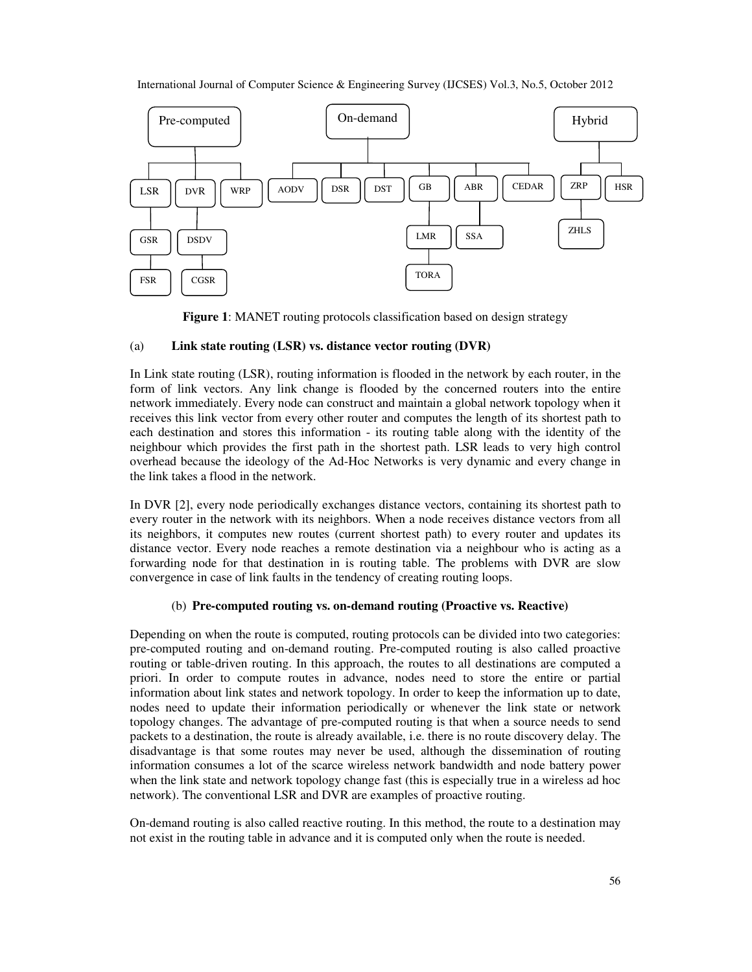International Journal of Computer Science & Engineering Survey (IJCSES) Vol.3, No.5, October 2012



**Figure 1**: MANET routing protocols classification based on design strategy

# (a) **Link state routing (LSR) vs. distance vector routing (DVR)**

In Link state routing (LSR), routing information is flooded in the network by each router, in the form of link vectors. Any link change is flooded by the concerned routers into the entire network immediately. Every node can construct and maintain a global network topology when it receives this link vector from every other router and computes the length of its shortest path to each destination and stores this information - its routing table along with the identity of the neighbour which provides the first path in the shortest path. LSR leads to very high control overhead because the ideology of the Ad-Hoc Networks is very dynamic and every change in the link takes a flood in the network.

In DVR [2], every node periodically exchanges distance vectors, containing its shortest path to every router in the network with its neighbors. When a node receives distance vectors from all its neighbors, it computes new routes (current shortest path) to every router and updates its distance vector. Every node reaches a remote destination via a neighbour who is acting as a forwarding node for that destination in is routing table. The problems with DVR are slow convergence in case of link faults in the tendency of creating routing loops.

# (b) **Pre-computed routing vs. on-demand routing (Proactive vs. Reactive)**

Depending on when the route is computed, routing protocols can be divided into two categories: pre-computed routing and on-demand routing. Pre-computed routing is also called proactive routing or table-driven routing. In this approach, the routes to all destinations are computed a priori. In order to compute routes in advance, nodes need to store the entire or partial information about link states and network topology. In order to keep the information up to date, nodes need to update their information periodically or whenever the link state or network topology changes. The advantage of pre-computed routing is that when a source needs to send packets to a destination, the route is already available, i.e. there is no route discovery delay. The disadvantage is that some routes may never be used, although the dissemination of routing information consumes a lot of the scarce wireless network bandwidth and node battery power when the link state and network topology change fast (this is especially true in a wireless ad hoc network). The conventional LSR and DVR are examples of proactive routing.

On-demand routing is also called reactive routing. In this method, the route to a destination may not exist in the routing table in advance and it is computed only when the route is needed.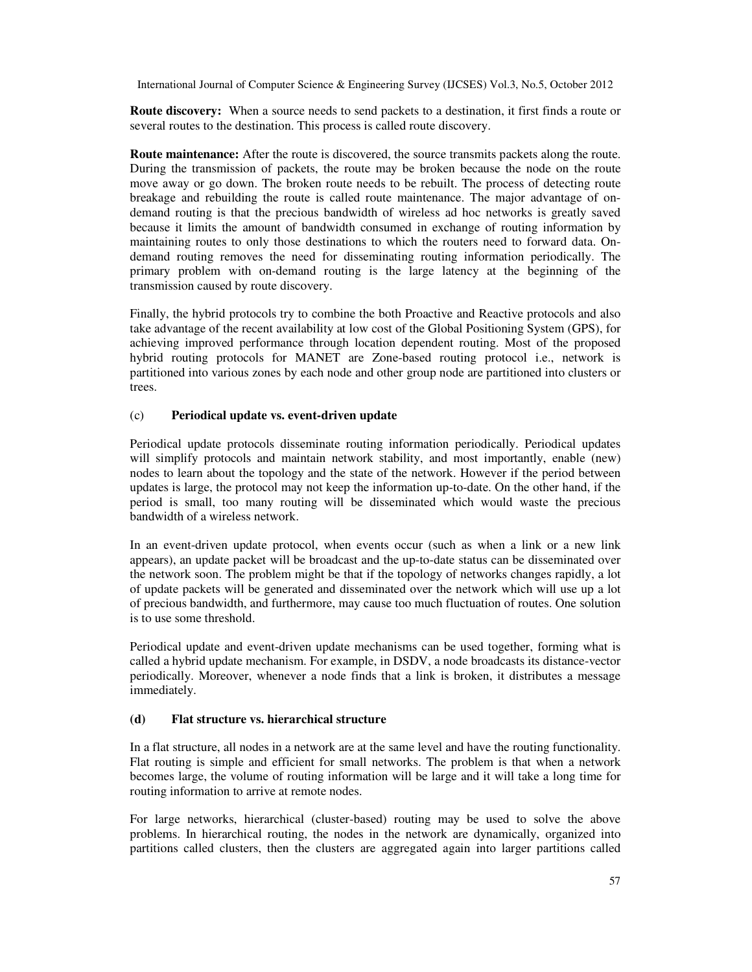**Route discovery:** When a source needs to send packets to a destination, it first finds a route or several routes to the destination. This process is called route discovery.

**Route maintenance:** After the route is discovered, the source transmits packets along the route. During the transmission of packets, the route may be broken because the node on the route move away or go down. The broken route needs to be rebuilt. The process of detecting route breakage and rebuilding the route is called route maintenance. The major advantage of ondemand routing is that the precious bandwidth of wireless ad hoc networks is greatly saved because it limits the amount of bandwidth consumed in exchange of routing information by maintaining routes to only those destinations to which the routers need to forward data. Ondemand routing removes the need for disseminating routing information periodically. The primary problem with on-demand routing is the large latency at the beginning of the transmission caused by route discovery.

Finally, the hybrid protocols try to combine the both Proactive and Reactive protocols and also take advantage of the recent availability at low cost of the Global Positioning System (GPS), for achieving improved performance through location dependent routing. Most of the proposed hybrid routing protocols for MANET are Zone-based routing protocol i.e., network is partitioned into various zones by each node and other group node are partitioned into clusters or trees.

# (c) **Periodical update vs. event-driven update**

Periodical update protocols disseminate routing information periodically. Periodical updates will simplify protocols and maintain network stability, and most importantly, enable (new) nodes to learn about the topology and the state of the network. However if the period between updates is large, the protocol may not keep the information up-to-date. On the other hand, if the period is small, too many routing will be disseminated which would waste the precious bandwidth of a wireless network.

In an event-driven update protocol, when events occur (such as when a link or a new link appears), an update packet will be broadcast and the up-to-date status can be disseminated over the network soon. The problem might be that if the topology of networks changes rapidly, a lot of update packets will be generated and disseminated over the network which will use up a lot of precious bandwidth, and furthermore, may cause too much fluctuation of routes. One solution is to use some threshold.

Periodical update and event-driven update mechanisms can be used together, forming what is called a hybrid update mechanism. For example, in DSDV, a node broadcasts its distance-vector periodically. Moreover, whenever a node finds that a link is broken, it distributes a message immediately.

### **(d) Flat structure vs. hierarchical structure**

In a flat structure, all nodes in a network are at the same level and have the routing functionality. Flat routing is simple and efficient for small networks. The problem is that when a network becomes large, the volume of routing information will be large and it will take a long time for routing information to arrive at remote nodes.

For large networks, hierarchical (cluster-based) routing may be used to solve the above problems. In hierarchical routing, the nodes in the network are dynamically, organized into partitions called clusters, then the clusters are aggregated again into larger partitions called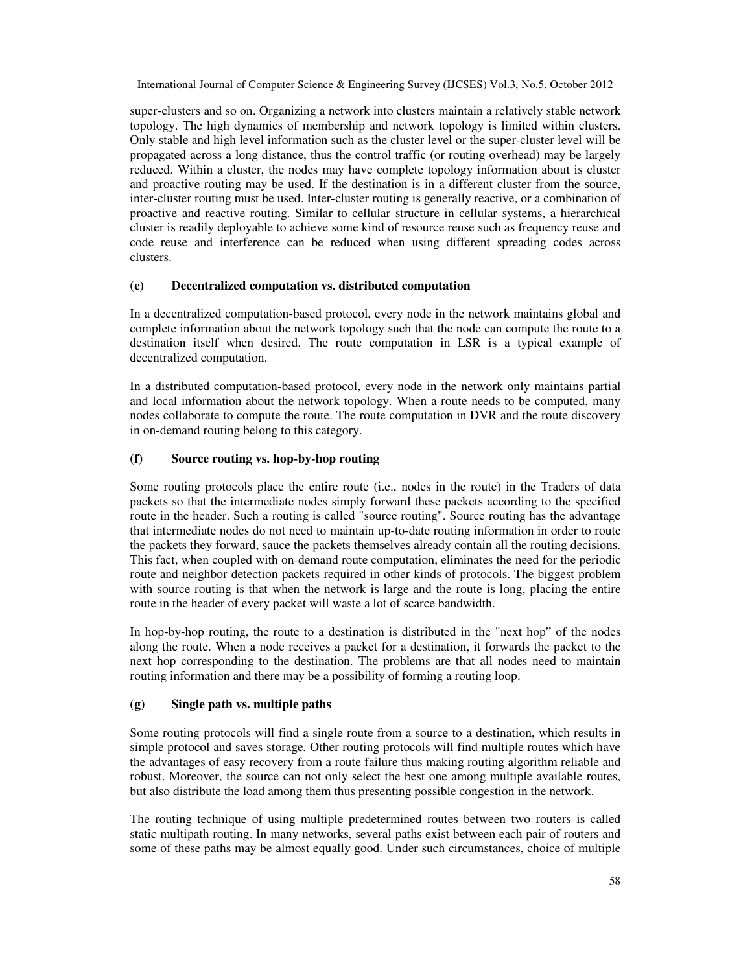super-clusters and so on. Organizing a network into clusters maintain a relatively stable network topology. The high dynamics of membership and network topology is limited within clusters. Only stable and high level information such as the cluster level or the super-cluster level will be propagated across a long distance, thus the control traffic (or routing overhead) may be largely reduced. Within a cluster, the nodes may have complete topology information about is cluster and proactive routing may be used. If the destination is in a different cluster from the source, inter-cluster routing must be used. Inter-cluster routing is generally reactive, or a combination of proactive and reactive routing. Similar to cellular structure in cellular systems, a hierarchical cluster is readily deployable to achieve some kind of resource reuse such as frequency reuse and code reuse and interference can be reduced when using different spreading codes across clusters.

# **(e) Decentralized computation vs. distributed computation**

In a decentralized computation-based protocol, every node in the network maintains global and complete information about the network topology such that the node can compute the route to a destination itself when desired. The route computation in LSR is a typical example of decentralized computation.

In a distributed computation-based protocol, every node in the network only maintains partial and local information about the network topology. When a route needs to be computed, many nodes collaborate to compute the route. The route computation in DVR and the route discovery in on-demand routing belong to this category.

# **(f) Source routing vs. hop-by-hop routing**

Some routing protocols place the entire route (i.e., nodes in the route) in the Traders of data packets so that the intermediate nodes simply forward these packets according to the specified route in the header. Such a routing is called "source routing". Source routing has the advantage that intermediate nodes do not need to maintain up-to-date routing information in order to route the packets they forward, sauce the packets themselves already contain all the routing decisions. This fact, when coupled with on-demand route computation, eliminates the need for the periodic route and neighbor detection packets required in other kinds of protocols. The biggest problem with source routing is that when the network is large and the route is long, placing the entire route in the header of every packet will waste a lot of scarce bandwidth.

In hop-by-hop routing, the route to a destination is distributed in the "next hop" of the nodes along the route. When a node receives a packet for a destination, it forwards the packet to the next hop corresponding to the destination. The problems are that all nodes need to maintain routing information and there may be a possibility of forming a routing loop.

# **(g) Single path vs. multiple paths**

Some routing protocols will find a single route from a source to a destination, which results in simple protocol and saves storage. Other routing protocols will find multiple routes which have the advantages of easy recovery from a route failure thus making routing algorithm reliable and robust. Moreover, the source can not only select the best one among multiple available routes, but also distribute the load among them thus presenting possible congestion in the network.

The routing technique of using multiple predetermined routes between two routers is called static multipath routing. In many networks, several paths exist between each pair of routers and some of these paths may be almost equally good. Under such circumstances, choice of multiple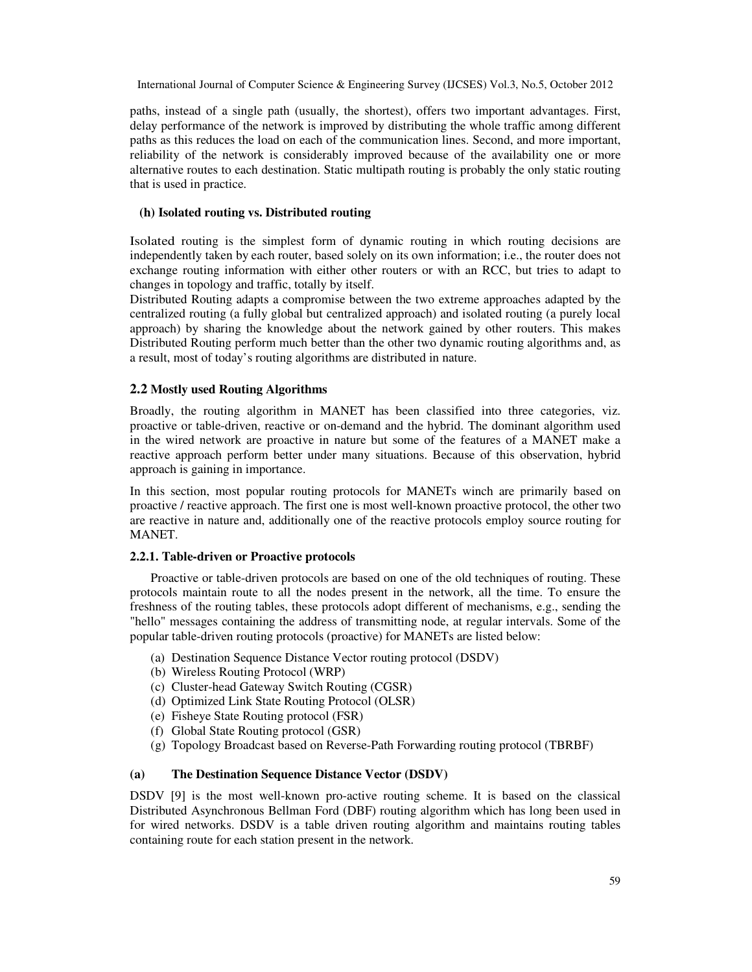paths, instead of a single path (usually, the shortest), offers two important advantages. First, delay performance of the network is improved by distributing the whole traffic among different paths as this reduces the load on each of the communication lines. Second, and more important, reliability of the network is considerably improved because of the availability one or more alternative routes to each destination. Static multipath routing is probably the only static routing that is used in practice.

#### **(h) Isolated routing vs. Distributed routing**

Isolated routing is the simplest form of dynamic routing in which routing decisions are independently taken by each router, based solely on its own information; i.e., the router does not exchange routing information with either other routers or with an RCC, but tries to adapt to changes in topology and traffic, totally by itself.

Distributed Routing adapts a compromise between the two extreme approaches adapted by the centralized routing (a fully global but centralized approach) and isolated routing (a purely local approach) by sharing the knowledge about the network gained by other routers. This makes Distributed Routing perform much better than the other two dynamic routing algorithms and, as a result, most of today's routing algorithms are distributed in nature.

#### **2.2 Mostly used Routing Algorithms**

Broadly, the routing algorithm in MANET has been classified into three categories, viz. proactive or table-driven, reactive or on-demand and the hybrid. The dominant algorithm used in the wired network are proactive in nature but some of the features of a MANET make a reactive approach perform better under many situations. Because of this observation, hybrid approach is gaining in importance.

In this section, most popular routing protocols for MANETs winch are primarily based on proactive / reactive approach. The first one is most well-known proactive protocol, the other two are reactive in nature and, additionally one of the reactive protocols employ source routing for MANET.

#### **2.2.1. Table-driven or Proactive protocols**

Proactive or table-driven protocols are based on one of the old techniques of routing. These protocols maintain route to all the nodes present in the network, all the time. To ensure the freshness of the routing tables, these protocols adopt different of mechanisms, e.g., sending the "hello" messages containing the address of transmitting node, at regular intervals. Some of the popular table-driven routing protocols (proactive) for MANETs are listed below:

- (a) Destination Sequence Distance Vector routing protocol (DSDV)
- (b) Wireless Routing Protocol (WRP)
- (c) Cluster-head Gateway Switch Routing (CGSR)
- (d) Optimized Link State Routing Protocol (OLSR)
- (e) Fisheye State Routing protocol (FSR)
- (f) Global State Routing protocol (GSR)
- (g) Topology Broadcast based on Reverse-Path Forwarding routing protocol (TBRBF)

#### **(a) The Destination Sequence Distance Vector (DSDV)**

DSDV [9] is the most well-known pro-active routing scheme. It is based on the classical Distributed Asynchronous Bellman Ford (DBF) routing algorithm which has long been used in for wired networks. DSDV is a table driven routing algorithm and maintains routing tables containing route for each station present in the network.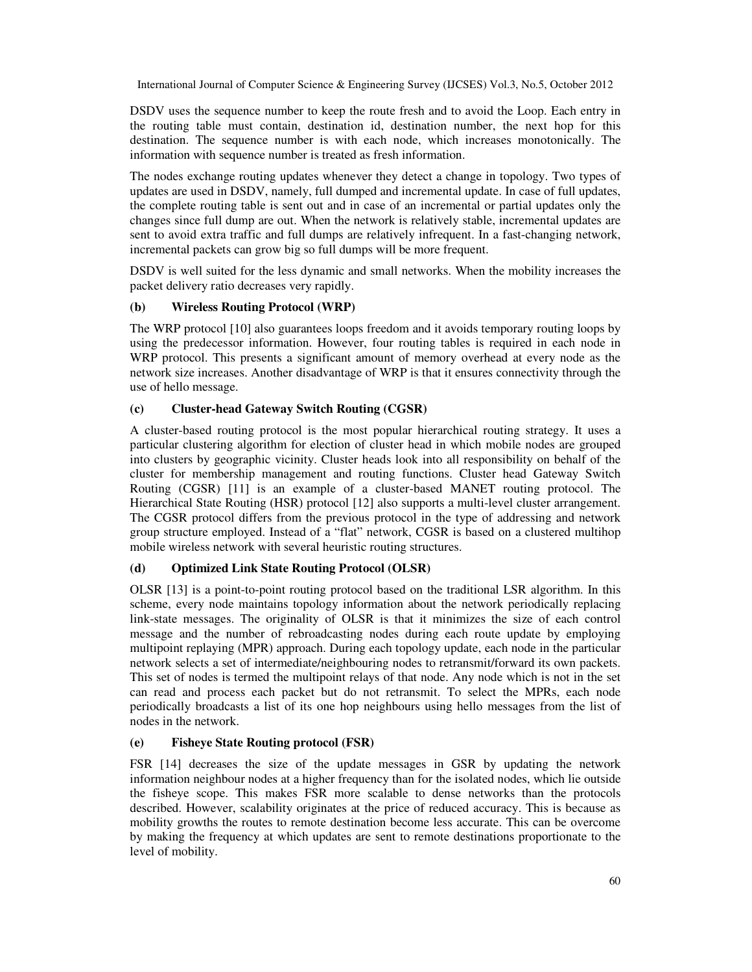DSDV uses the sequence number to keep the route fresh and to avoid the Loop. Each entry in the routing table must contain, destination id, destination number, the next hop for this destination. The sequence number is with each node, which increases monotonically. The information with sequence number is treated as fresh information.

The nodes exchange routing updates whenever they detect a change in topology. Two types of updates are used in DSDV, namely, full dumped and incremental update. In case of full updates, the complete routing table is sent out and in case of an incremental or partial updates only the changes since full dump are out. When the network is relatively stable, incremental updates are sent to avoid extra traffic and full dumps are relatively infrequent. In a fast-changing network, incremental packets can grow big so full dumps will be more frequent.

DSDV is well suited for the less dynamic and small networks. When the mobility increases the packet delivery ratio decreases very rapidly.

# **(b) Wireless Routing Protocol (WRP)**

The WRP protocol [10] also guarantees loops freedom and it avoids temporary routing loops by using the predecessor information. However, four routing tables is required in each node in WRP protocol. This presents a significant amount of memory overhead at every node as the network size increases. Another disadvantage of WRP is that it ensures connectivity through the use of hello message.

# **(c) Cluster-head Gateway Switch Routing (CGSR)**

A cluster-based routing protocol is the most popular hierarchical routing strategy. It uses a particular clustering algorithm for election of cluster head in which mobile nodes are grouped into clusters by geographic vicinity. Cluster heads look into all responsibility on behalf of the cluster for membership management and routing functions. Cluster head Gateway Switch Routing (CGSR) [11] is an example of a cluster-based MANET routing protocol. The Hierarchical State Routing (HSR) protocol [12] also supports a multi-level cluster arrangement. The CGSR protocol differs from the previous protocol in the type of addressing and network group structure employed. Instead of a "flat" network, CGSR is based on a clustered multihop mobile wireless network with several heuristic routing structures.

# **(d) Optimized Link State Routing Protocol (OLSR)**

OLSR [13] is a point-to-point routing protocol based on the traditional LSR algorithm. In this scheme, every node maintains topology information about the network periodically replacing link-state messages. The originality of OLSR is that it minimizes the size of each control message and the number of rebroadcasting nodes during each route update by employing multipoint replaying (MPR) approach. During each topology update, each node in the particular network selects a set of intermediate/neighbouring nodes to retransmit/forward its own packets. This set of nodes is termed the multipoint relays of that node. Any node which is not in the set can read and process each packet but do not retransmit. To select the MPRs, each node periodically broadcasts a list of its one hop neighbours using hello messages from the list of nodes in the network.

# **(e) Fisheye State Routing protocol (FSR)**

FSR [14] decreases the size of the update messages in GSR by updating the network information neighbour nodes at a higher frequency than for the isolated nodes, which lie outside the fisheye scope. This makes FSR more scalable to dense networks than the protocols described. However, scalability originates at the price of reduced accuracy. This is because as mobility growths the routes to remote destination become less accurate. This can be overcome by making the frequency at which updates are sent to remote destinations proportionate to the level of mobility.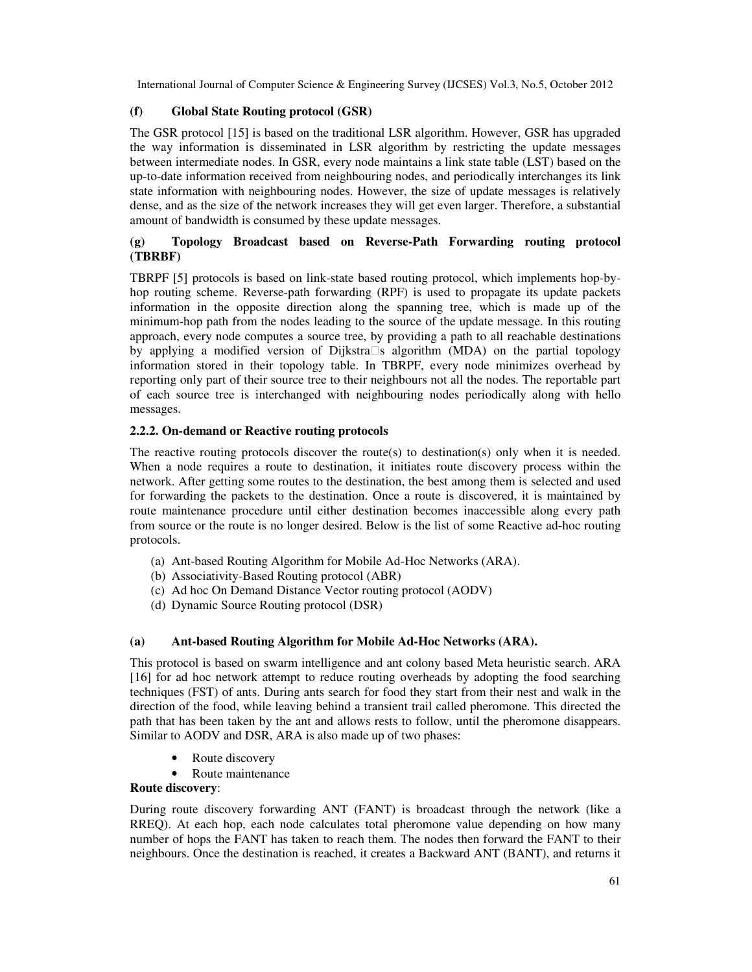# **(f) Global State Routing protocol (GSR)**

The GSR protocol [15] is based on the traditional LSR algorithm. However, GSR has upgraded the way information is disseminated in LSR algorithm by restricting the update messages between intermediate nodes. In GSR, every node maintains a link state table (LST) based on the up-to-date information received from neighbouring nodes, and periodically interchanges its link state information with neighbouring nodes. However, the size of update messages is relatively dense, and as the size of the network increases they will get even larger. Therefore, a substantial amount of bandwidth is consumed by these update messages.

# **(g) Topology Broadcast based on Reverse-Path Forwarding routing protocol (TBRBF)**

TBRPF [5] protocols is based on link-state based routing protocol, which implements hop-byhop routing scheme. Reverse-path forwarding (RPF) is used to propagate its update packets information in the opposite direction along the spanning tree, which is made up of the minimum-hop path from the nodes leading to the source of the update message. In this routing approach, every node computes a source tree, by providing a path to all reachable destinations by applying a modified version of Dijkstra s algorithm (MDA) on the partial topology information stored in their topology table. In TBRPF, every node minimizes overhead by reporting only part of their source tree to their neighbours not all the nodes. The reportable part of each source tree is interchanged with neighbouring nodes periodically along with hello messages.

# **2.2.2. On-demand or Reactive routing protocols**

The reactive routing protocols discover the route(s) to destination(s) only when it is needed. When a node requires a route to destination, it initiates route discovery process within the network. After getting some routes to the destination, the best among them is selected and used for forwarding the packets to the destination. Once a route is discovered, it is maintained by route maintenance procedure until either destination becomes inaccessible along every path from source or the route is no longer desired. Below is the list of some Reactive ad-hoc routing protocols.

- (a) Ant-based Routing Algorithm for Mobile Ad-Hoc Networks (ARA).
- (b) Associativity-Based Routing protocol (ABR)
- (c) Ad hoc On Demand Distance Vector routing protocol (AODV)
- (d) Dynamic Source Routing protocol (DSR)

# **(a) Ant-based Routing Algorithm for Mobile Ad-Hoc Networks (ARA).**

This protocol is based on swarm intelligence and ant colony based Meta heuristic search. ARA [16] for ad hoc network attempt to reduce routing overheads by adopting the food searching techniques (FST) of ants. During ants search for food they start from their nest and walk in the direction of the food, while leaving behind a transient trail called pheromone. This directed the path that has been taken by the ant and allows rests to follow, until the pheromone disappears. Similar to AODV and DSR, ARA is also made up of two phases:

- Route discovery
- Route maintenance

# **Route discovery**:

During route discovery forwarding ANT (FANT) is broadcast through the network (like a RREQ). At each hop, each node calculates total pheromone value depending on how many number of hops the FANT has taken to reach them. The nodes then forward the FANT to their neighbours. Once the destination is reached, it creates a Backward ANT (BANT), and returns it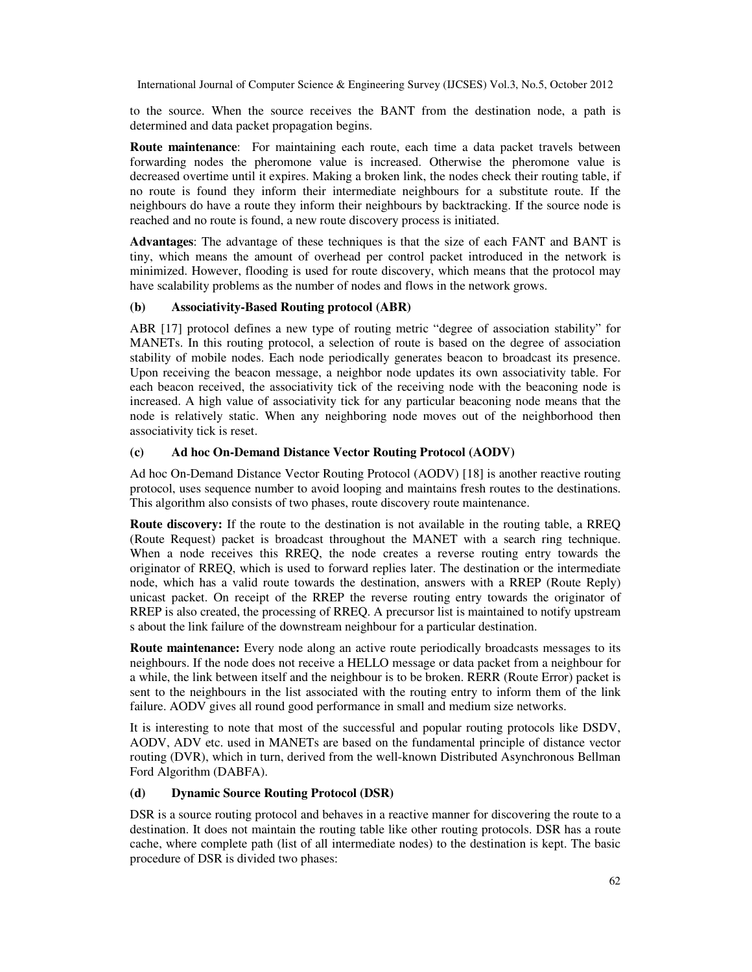to the source. When the source receives the BANT from the destination node, a path is determined and data packet propagation begins.

**Route maintenance**: For maintaining each route, each time a data packet travels between forwarding nodes the pheromone value is increased. Otherwise the pheromone value is decreased overtime until it expires. Making a broken link, the nodes check their routing table, if no route is found they inform their intermediate neighbours for a substitute route. If the neighbours do have a route they inform their neighbours by backtracking. If the source node is reached and no route is found, a new route discovery process is initiated.

**Advantages**: The advantage of these techniques is that the size of each FANT and BANT is tiny, which means the amount of overhead per control packet introduced in the network is minimized. However, flooding is used for route discovery, which means that the protocol may have scalability problems as the number of nodes and flows in the network grows.

# **(b) Associativity-Based Routing protocol (ABR)**

ABR [17] protocol defines a new type of routing metric "degree of association stability" for MANETs. In this routing protocol, a selection of route is based on the degree of association stability of mobile nodes. Each node periodically generates beacon to broadcast its presence. Upon receiving the beacon message, a neighbor node updates its own associativity table. For each beacon received, the associativity tick of the receiving node with the beaconing node is increased. A high value of associativity tick for any particular beaconing node means that the node is relatively static. When any neighboring node moves out of the neighborhood then associativity tick is reset.

# **(c) Ad hoc On-Demand Distance Vector Routing Protocol (AODV)**

Ad hoc On-Demand Distance Vector Routing Protocol (AODV) [18] is another reactive routing protocol, uses sequence number to avoid looping and maintains fresh routes to the destinations. This algorithm also consists of two phases, route discovery route maintenance.

**Route discovery:** If the route to the destination is not available in the routing table, a RREQ (Route Request) packet is broadcast throughout the MANET with a search ring technique. When a node receives this RREQ, the node creates a reverse routing entry towards the originator of RREQ, which is used to forward replies later. The destination or the intermediate node, which has a valid route towards the destination, answers with a RREP (Route Reply) unicast packet. On receipt of the RREP the reverse routing entry towards the originator of RREP is also created, the processing of RREQ. A precursor list is maintained to notify upstream s about the link failure of the downstream neighbour for a particular destination.

**Route maintenance:** Every node along an active route periodically broadcasts messages to its neighbours. If the node does not receive a HELLO message or data packet from a neighbour for a while, the link between itself and the neighbour is to be broken. RERR (Route Error) packet is sent to the neighbours in the list associated with the routing entry to inform them of the link failure. AODV gives all round good performance in small and medium size networks.

It is interesting to note that most of the successful and popular routing protocols like DSDV, AODV, ADV etc. used in MANETs are based on the fundamental principle of distance vector routing (DVR), which in turn, derived from the well-known Distributed Asynchronous Bellman Ford Algorithm (DABFA).

# **(d) Dynamic Source Routing Protocol (DSR)**

DSR is a source routing protocol and behaves in a reactive manner for discovering the route to a destination. It does not maintain the routing table like other routing protocols. DSR has a route cache, where complete path (list of all intermediate nodes) to the destination is kept. The basic procedure of DSR is divided two phases: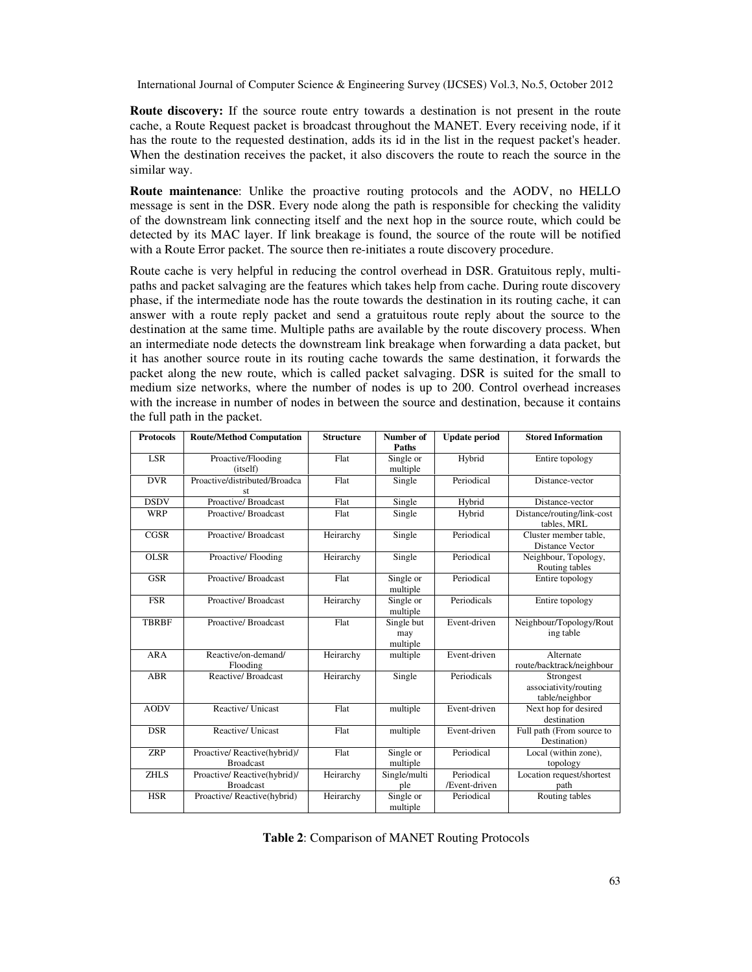**Route discovery:** If the source route entry towards a destination is not present in the route cache, a Route Request packet is broadcast throughout the MANET. Every receiving node, if it has the route to the requested destination, adds its id in the list in the request packet's header. When the destination receives the packet, it also discovers the route to reach the source in the similar way.

**Route maintenance**: Unlike the proactive routing protocols and the AODV, no HELLO message is sent in the DSR. Every node along the path is responsible for checking the validity of the downstream link connecting itself and the next hop in the source route, which could be detected by its MAC layer. If link breakage is found, the source of the route will be notified with a Route Error packet. The source then re-initiates a route discovery procedure.

Route cache is very helpful in reducing the control overhead in DSR. Gratuitous reply, multipaths and packet salvaging are the features which takes help from cache. During route discovery phase, if the intermediate node has the route towards the destination in its routing cache, it can answer with a route reply packet and send a gratuitous route reply about the source to the destination at the same time. Multiple paths are available by the route discovery process. When an intermediate node detects the downstream link breakage when forwarding a data packet, but it has another source route in its routing cache towards the same destination, it forwards the packet along the new route, which is called packet salvaging. DSR is suited for the small to medium size networks, where the number of nodes is up to 200. Control overhead increases with the increase in number of nodes in between the source and destination, because it contains the full path in the packet.

| <b>Protocols</b> | <b>Route/Method Computation</b>                 | <b>Structure</b> | Number of<br>Paths                        | <b>Update period</b>        | <b>Stored Information</b>                            |
|------------------|-------------------------------------------------|------------------|-------------------------------------------|-----------------------------|------------------------------------------------------|
| <b>LSR</b>       | Proactive/Flooding<br>(itself)                  | Flat             | Single or<br>multiple                     | Hybrid                      | Entire topology                                      |
| <b>DVR</b>       | Proactive/distributed/Broadca<br>st             | Flat             | Single                                    | Periodical                  | Distance-vector                                      |
| <b>DSDV</b>      | Proactive/ Broadcast                            | Flat             | Single                                    | Hybrid                      | Distance-vector                                      |
| <b>WRP</b>       | Proactive/Broadcast                             | Flat             | Single                                    | Hybrid                      | Distance/routing/link-cost<br>tables, MRL            |
| <b>CGSR</b>      | Proactive/Broadcast                             | Heirarchy        | Single                                    | Periodical                  | Cluster member table.<br><b>Distance Vector</b>      |
| <b>OLSR</b>      | Proactive/Flooding                              | Heirarchy        | Single                                    | Periodical                  | Neighbour, Topology,<br>Routing tables               |
| <b>GSR</b>       | Proactive/Broadcast                             | Flat             | Single or<br>multiple                     | Periodical                  | Entire topology                                      |
| <b>FSR</b>       | Proactive/Broadcast                             | Heirarchy        | Single or<br>multiple                     | Periodicals                 | Entire topology                                      |
| <b>TBRBF</b>     | Proactive/Broadcast                             | Flat             | Single but<br>may<br>multiple             | Event-driven                | Neighbour/Topology/Rout<br>ing table                 |
| <b>ARA</b>       | Reactive/on-demand/<br>Flooding                 | Heirarchy        | multiple                                  | Event-driven                | Alternate<br>route/backtrack/neighbour               |
| <b>ABR</b>       | Reactive/Broadcast                              | Heirarchy        | Single                                    | Periodicals                 | Strongest<br>associativity/routing<br>table/neighbor |
| <b>AODV</b>      | Reactive/Unicast                                | Flat             | multiple                                  | Event-driven                | Next hop for desired<br>destination                  |
| <b>DSR</b>       | Reactive/ Unicast                               | Flat             | multiple                                  | Event-driven                | Full path (From source to<br>Destination)            |
| <b>ZRP</b>       | Proactive/Reactive(hybrid)/<br><b>Broadcast</b> | Flat             | Single or<br>multiple                     | Periodical                  | Local (within zone),<br>topology                     |
| <b>ZHLS</b>      | Proactive/Reactive(hybrid)/<br><b>Broadcast</b> | Heirarchy        | Single/multi<br>ple                       | Periodical<br>/Event-driven | Location request/shortest<br>path                    |
| <b>HSR</b>       | Proactive/Reactive(hybrid)                      | Heirarchy        | $\overline{\text{Single}}$ or<br>multiple | Periodical                  | Routing tables                                       |

**Table 2**: Comparison of MANET Routing Protocols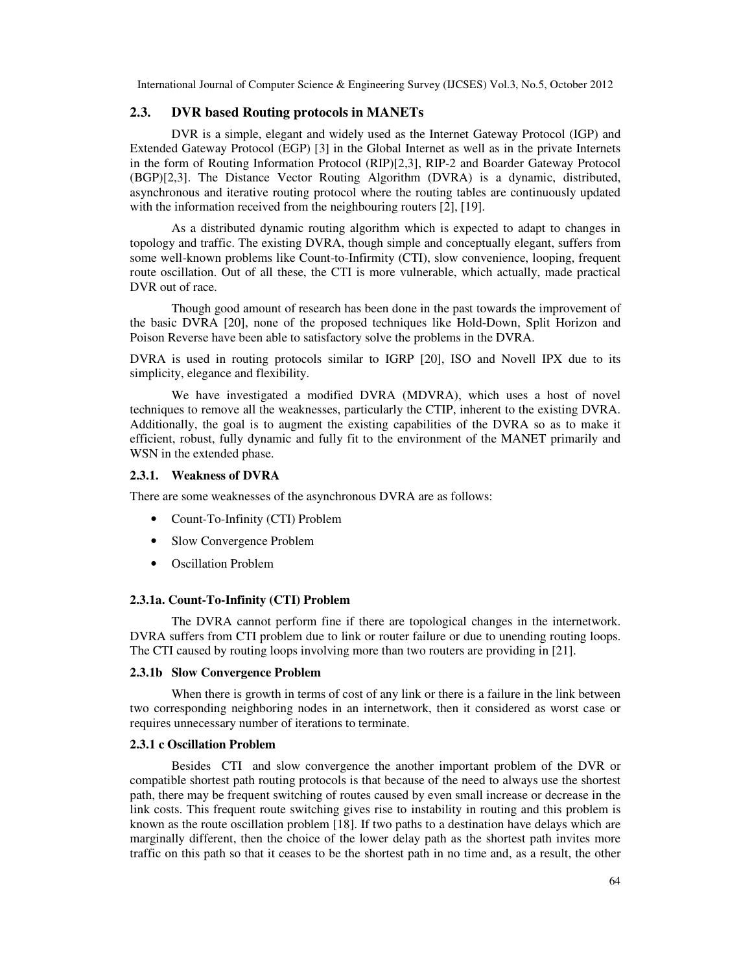# **2.3. DVR based Routing protocols in MANETs**

DVR is a simple, elegant and widely used as the Internet Gateway Protocol (IGP) and Extended Gateway Protocol (EGP) [3] in the Global Internet as well as in the private Internets in the form of Routing Information Protocol (RIP)[2,3], RIP-2 and Boarder Gateway Protocol (BGP)[2,3]. The Distance Vector Routing Algorithm (DVRA) is a dynamic, distributed, asynchronous and iterative routing protocol where the routing tables are continuously updated with the information received from the neighbouring routers [2], [19].

 As a distributed dynamic routing algorithm which is expected to adapt to changes in topology and traffic. The existing DVRA, though simple and conceptually elegant, suffers from some well-known problems like Count-to-Infirmity (CTI), slow convenience, looping, frequent route oscillation. Out of all these, the CTI is more vulnerable, which actually, made practical DVR out of race.

Though good amount of research has been done in the past towards the improvement of the basic DVRA [20], none of the proposed techniques like Hold-Down, Split Horizon and Poison Reverse have been able to satisfactory solve the problems in the DVRA.

DVRA is used in routing protocols similar to IGRP [20], ISO and Novell IPX due to its simplicity, elegance and flexibility.

 We have investigated a modified DVRA (MDVRA), which uses a host of novel techniques to remove all the weaknesses, particularly the CTIP, inherent to the existing DVRA. Additionally, the goal is to augment the existing capabilities of the DVRA so as to make it efficient, robust, fully dynamic and fully fit to the environment of the MANET primarily and WSN in the extended phase.

#### **2.3.1. Weakness of DVRA**

There are some weaknesses of the asynchronous DVRA are as follows:

- Count-To-Infinity (CTI) Problem
- Slow Convergence Problem
- Oscillation Problem

### **2.3.1a. Count-To-Infinity (CTI) Problem**

The DVRA cannot perform fine if there are topological changes in the internetwork. DVRA suffers from CTI problem due to link or router failure or due to unending routing loops. The CTI caused by routing loops involving more than two routers are providing in [21].

#### **2.3.1b Slow Convergence Problem**

When there is growth in terms of cost of any link or there is a failure in the link between two corresponding neighboring nodes in an internetwork, then it considered as worst case or requires unnecessary number of iterations to terminate.

#### **2.3.1 c Oscillation Problem**

Besides CTI and slow convergence the another important problem of the DVR or compatible shortest path routing protocols is that because of the need to always use the shortest path, there may be frequent switching of routes caused by even small increase or decrease in the link costs. This frequent route switching gives rise to instability in routing and this problem is known as the route oscillation problem [18]. If two paths to a destination have delays which are marginally different, then the choice of the lower delay path as the shortest path invites more traffic on this path so that it ceases to be the shortest path in no time and, as a result, the other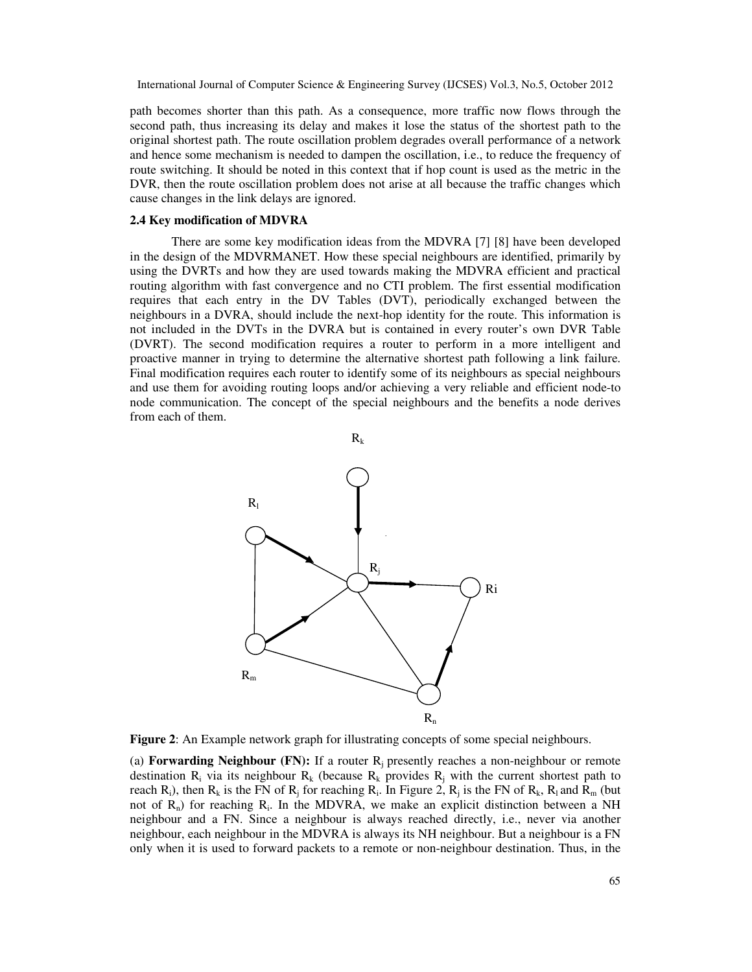path becomes shorter than this path. As a consequence, more traffic now flows through the second path, thus increasing its delay and makes it lose the status of the shortest path to the original shortest path. The route oscillation problem degrades overall performance of a network and hence some mechanism is needed to dampen the oscillation, i.e., to reduce the frequency of route switching. It should be noted in this context that if hop count is used as the metric in the DVR, then the route oscillation problem does not arise at all because the traffic changes which cause changes in the link delays are ignored.

#### **2.4 Key modification of MDVRA**

There are some key modification ideas from the MDVRA [7] [8] have been developed in the design of the MDVRMANET. How these special neighbours are identified, primarily by using the DVRTs and how they are used towards making the MDVRA efficient and practical routing algorithm with fast convergence and no CTI problem. The first essential modification requires that each entry in the DV Tables (DVT), periodically exchanged between the neighbours in a DVRA, should include the next-hop identity for the route. This information is not included in the DVTs in the DVRA but is contained in every router's own DVR Table (DVRT). The second modification requires a router to perform in a more intelligent and proactive manner in trying to determine the alternative shortest path following a link failure. Final modification requires each router to identify some of its neighbours as special neighbours and use them for avoiding routing loops and/or achieving a very reliable and efficient node-to node communication. The concept of the special neighbours and the benefits a node derives from each of them.



**Figure 2**: An Example network graph for illustrating concepts of some special neighbours.

(a) **Forwarding Neighbour (FN):** If a router R<sub>i</sub> presently reaches a non-neighbour or remote destination  $R_i$  via its neighbour  $R_k$  (because  $R_k$  provides  $R_j$  with the current shortest path to reach R<sub>i</sub>), then R<sub>k</sub> is the FN of R<sub>j</sub> for reaching R<sub>i</sub>. In Figure 2, R<sub>j</sub> is the FN of R<sub>k</sub>, R<sub>l</sub> and R<sub>m</sub> (but not of  $R_n$ ) for reaching  $R_i$ . In the MDVRA, we make an explicit distinction between a NH neighbour and a FN. Since a neighbour is always reached directly, i.e., never via another neighbour, each neighbour in the MDVRA is always its NH neighbour. But a neighbour is a FN only when it is used to forward packets to a remote or non-neighbour destination. Thus, in the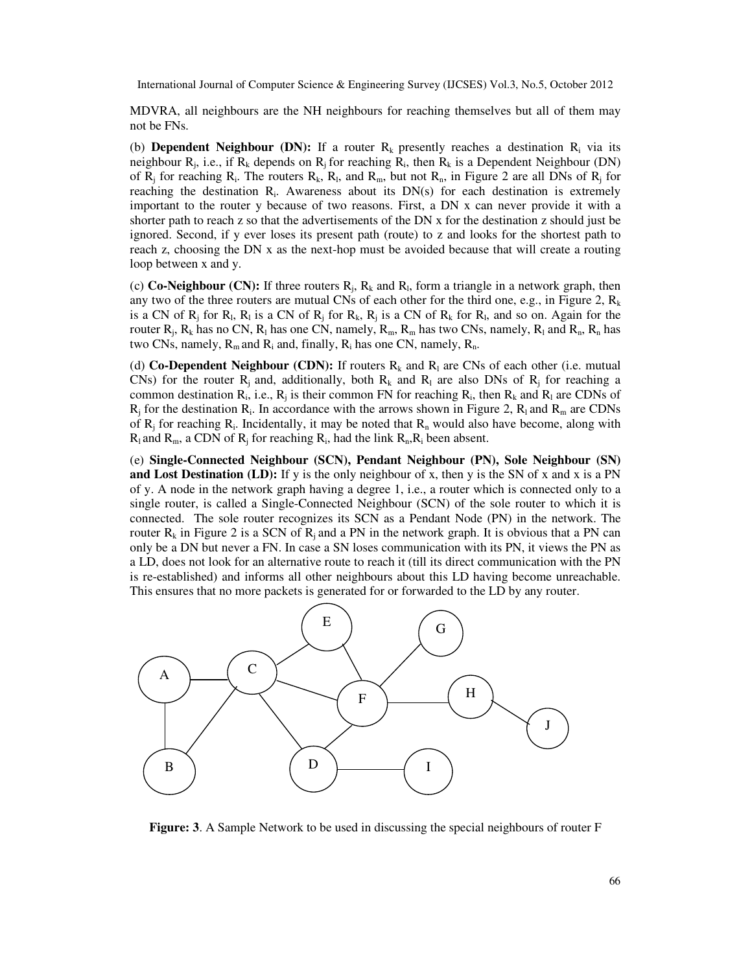MDVRA, all neighbours are the NH neighbours for reaching themselves but all of them may not be FNs.

(b) **Dependent Neighbour (DN):** If a router  $R_k$  presently reaches a destination  $R_i$  via its neighbour  $R_j$ , i.e., if  $R_k$  depends on  $R_j$  for reaching  $R_i$ , then  $R_k$  is a Dependent Neighbour (DN) of  $R_j$  for reaching  $R_i$ . The routers  $R_k$ ,  $R_l$ , and  $R_m$ , but not  $R_n$ , in Figure 2 are all DNs of  $R_j$  for reaching the destination  $R_i$ . Awareness about its  $DN(s)$  for each destination is extremely important to the router y because of two reasons. First, a DN x can never provide it with a shorter path to reach z so that the advertisements of the DN x for the destination z should just be ignored. Second, if y ever loses its present path (route) to z and looks for the shortest path to reach z, choosing the DN x as the next-hop must be avoided because that will create a routing loop between x and y.

(c) **Co-Neighbour (CN):** If three routers  $R_j$ ,  $R_k$  and  $R_l$ , form a triangle in a network graph, then any two of the three routers are mutual CNs of each other for the third one, e.g., in Figure 2,  $R_k$ is a CN of  $R_j$  for  $R_l$ ,  $R_l$  is a CN of  $R_j$  for  $R_k$ ,  $R_j$  is a CN of  $R_k$  for  $R_l$ , and so on. Again for the router  $R_j$ ,  $R_k$  has no CN,  $R_1$  has one CN, namely,  $R_m$ ,  $R_m$  has two CNs, namely,  $R_1$  and  $R_n$ ,  $R_n$  has two CNs, namely,  $R_m$  and  $R_i$  and, finally,  $R_i$  has one CN, namely,  $R_n$ .

(d)  $Co\text{-Dependent Neighbour (CDN):}$  If routers  $R_k$  and  $R_l$  are CNs of each other (i.e. mutual CNs) for the router  $R_j$  and, additionally, both  $R_k$  and  $R_l$  are also DNs of  $R_j$  for reaching a common destination  $R_i$ , i.e.,  $R_j$  is their common FN for reaching  $R_i$ , then  $R_k$  and  $R_l$  are CDNs of  $R_j$  for the destination  $R_i$ . In accordance with the arrows shown in Figure 2,  $R_l$  and  $R_m$  are CDNs of  $R_j$  for reaching  $R_i$ . Incidentally, it may be noted that  $R_n$  would also have become, along with  $R_1$  and  $R_m$ , a CDN of  $R_j$  for reaching  $R_i$ , had the link  $R_n, R_i$  been absent.

(e) **Single-Connected Neighbour (SCN), Pendant Neighbour (PN), Sole Neighbour (SN) and Lost Destination (LD):** If y is the only neighbour of x, then y is the SN of x and x is a PN of y. A node in the network graph having a degree 1, i.e., a router which is connected only to a single router, is called a Single-Connected Neighbour (SCN) of the sole router to which it is connected. The sole router recognizes its SCN as a Pendant Node (PN) in the network. The router  $R_k$  in Figure 2 is a SCN of  $R_i$  and a PN in the network graph. It is obvious that a PN can only be a DN but never a FN. In case a SN loses communication with its PN, it views the PN as a LD, does not look for an alternative route to reach it (till its direct communication with the PN is re-established) and informs all other neighbours about this LD having become unreachable. This ensures that no more packets is generated for or forwarded to the LD by any router.



**Figure: 3**. A Sample Network to be used in discussing the special neighbours of router F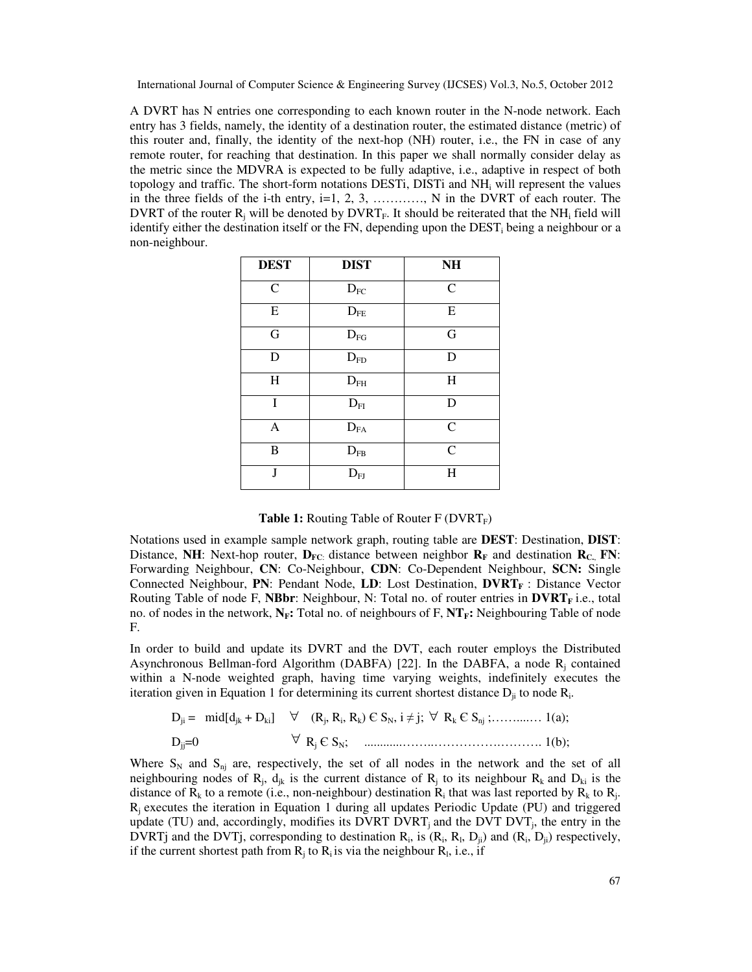A DVRT has N entries one corresponding to each known router in the N-node network. Each entry has 3 fields, namely, the identity of a destination router, the estimated distance (metric) of this router and, finally, the identity of the next-hop (NH) router, i.e., the FN in case of any remote router, for reaching that destination. In this paper we shall normally consider delay as the metric since the MDVRA is expected to be fully adaptive, i.e., adaptive in respect of both topology and traffic. The short-form notations DESTi, DISTi and  $NH<sub>i</sub>$  will represent the values in the three fields of the i-th entry,  $i=1, 2, 3, \ldots$   $N$  in the DVRT of each router. The DVRT of the router  $R_j$  will be denoted by DVRT<sub>F</sub>. It should be reiterated that the NH<sub>i</sub> field will identify either the destination itself or the FN, depending upon the  $DEST_i$  being a neighbour or a non-neighbour.

| <b>DEST</b>   | <b>DIST</b>                | NH             |  |
|---------------|----------------------------|----------------|--|
| $\mathcal{C}$ | $D_{FC}$                   | $\mathcal{C}$  |  |
| ${\bf E}$     | $\mathbf{D}_{\mathrm{FE}}$ | ${\bf E}$      |  |
| G             | $\mathbf{D}_{\rm FG}$      | G              |  |
| D             | $D_{FD}$                   | D              |  |
| H             | $D_{\rm FH}$               | H              |  |
| I             | $D_{FI}$                   | D              |  |
| A             | $D_{FA}$                   | $\mathcal{C}$  |  |
| B             | $\mathbf{D}_{\rm FB}$      | $\overline{C}$ |  |
| J             | $D_{FI}$                   | H              |  |

**Table 1:** Routing Table of Router F (DVRT<sub>F</sub>)

Notations used in example sample network graph, routing table are **DEST**: Destination, **DIST**: Distance, **NH**: Next-hop router,  $D_{FC}$ : distance between neighbor  $R_F$  and destination  $R_{C}$ . **FN**: Forwarding Neighbour, **CN**: Co-Neighbour, **CDN**: Co-Dependent Neighbour, **SCN:** Single Connected Neighbour, **PN**: Pendant Node, **LD**: Lost Destination, **DVRT<sup>F</sup>** : Distance Vector Routing Table of node F, NBbr: Neighbour, N: Total no. of router entries in DVRT<sub>F</sub> i.e., total no. of nodes in the network,  $N_F$ **:** Total no. of neighbours of F,  $NT_F$ **:** Neighbouring Table of node F.

In order to build and update its DVRT and the DVT, each router employs the Distributed Asynchronous Bellman-ford Algorithm (DABFA) [22]. In the DABFA, a node  $R_j$  contained within a N-node weighted graph, having time varying weights, indefinitely executes the iteration given in Equation 1 for determining its current shortest distance  $D_{ji}$  to node  $R_i$ .

$$
\begin{aligned}\nD_{ji} &= \operatorname{mid}[d_{jk} + D_{ki}] \quad \forall \quad (R_j, R_i, R_k) \in S_N, \ i \neq j; \ \forall \ R_k \in S_{nj} \ ; \dots \dots \dots \dots \quad 1(a); \\
D_{jj} &= & 0 \qquad \forall \ R_j \in S_N; \quad \dots \dots \dots \dots \dots \dots \dots \dots \dots \dots \dots \quad 1(b); \n\end{aligned}
$$

Where  $S_N$  and  $S_{nj}$  are, respectively, the set of all nodes in the network and the set of all neighbouring nodes of  $R_j$ ,  $d_{jk}$  is the current distance of  $R_j$  to its neighbour  $R_k$  and  $D_{ki}$  is the distance of  $R_k$  to a remote (i.e., non-neighbour) destination  $R_i$  that was last reported by  $R_k$  to  $R_j$ .  $R_i$  executes the iteration in Equation 1 during all updates Periodic Update (PU) and triggered update (TU) and, accordingly, modifies its DVRT DVRT<sub>j</sub> and the DVT DVT<sub>j</sub>, the entry in the DVRTj and the DVTj, corresponding to destination  $R_i$ , is  $(R_i, R_l, D_{ji})$  and  $(R_i, D_{ji})$  respectively, if the current shortest path from  $R_j$  to  $R_i$  is via the neighbour  $R_l$ , i.e., if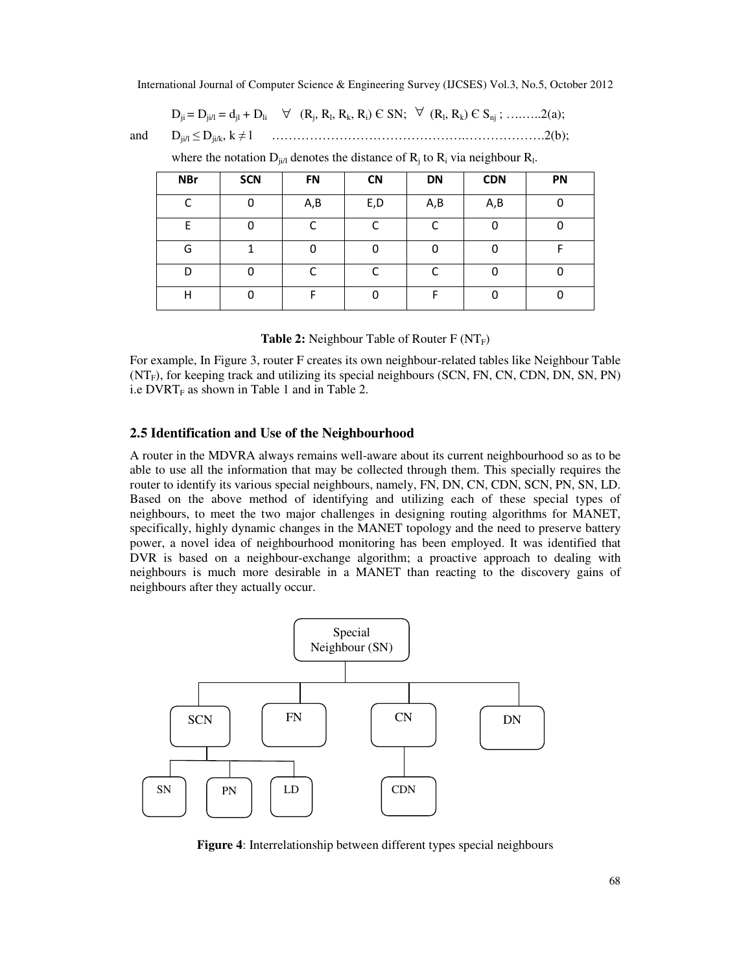$$
D_{ji}=D_{ji\prime l}=d_{jl}+D_{li} \quad \ \forall \quad (R_j,\,R_l,\,R_k,\,R_i)\in SN; \ \ \forall \ \ (R_l,\,R_k)\in S_{nj}\ ;\ \ldots\ldots\ldots 2(a);
$$

and 
$$
D_{ji/} \le D_{ji/k}
$$
,  $k \ne 1$  ....... $\ldots$  ....... $\ldots$  ....... $\ldots$ .... $2(b)$ ;

| <b>NBr</b> | <b>SCN</b> | <b>FN</b> | <b>CN</b> | <b>DN</b>      | <b>CDN</b> | PN |
|------------|------------|-----------|-----------|----------------|------------|----|
| C          | 0          | A,B       | E,D       | A,B            | A,B        |    |
| E          | 0          |           | C         |                | 0          |    |
| G          |            | U         | O         | 0              | 0          |    |
| D          | 0          | r         |           | $\overline{ }$ | 0          |    |
| Н          | 0          |           | O         |                | 0          |    |

where the notation  $D_{jil}$  denotes the distance of  $R_j$  to  $R_i$  via neighbour  $R_l$ .

**Table 2:** Neighbour Table of Router  $F (NT_F)$ 

For example, In Figure 3, router F creates its own neighbour-related tables like Neighbour Table  $(NT<sub>F</sub>)$ , for keeping track and utilizing its special neighbours (SCN, FN, CN, CDN, DN, SN, PN) i.e DVRT<sub>F</sub> as shown in Table 1 and in Table 2.

### **2.5 Identification and Use of the Neighbourhood**

A router in the MDVRA always remains well-aware about its current neighbourhood so as to be able to use all the information that may be collected through them. This specially requires the router to identify its various special neighbours, namely, FN, DN, CN, CDN, SCN, PN, SN, LD. Based on the above method of identifying and utilizing each of these special types of neighbours, to meet the two major challenges in designing routing algorithms for MANET, specifically, highly dynamic changes in the MANET topology and the need to preserve battery power, a novel idea of neighbourhood monitoring has been employed. It was identified that DVR is based on a neighbour-exchange algorithm; a proactive approach to dealing with neighbours is much more desirable in a MANET than reacting to the discovery gains of neighbours after they actually occur.



**Figure 4**: Interrelationship between different types special neighbours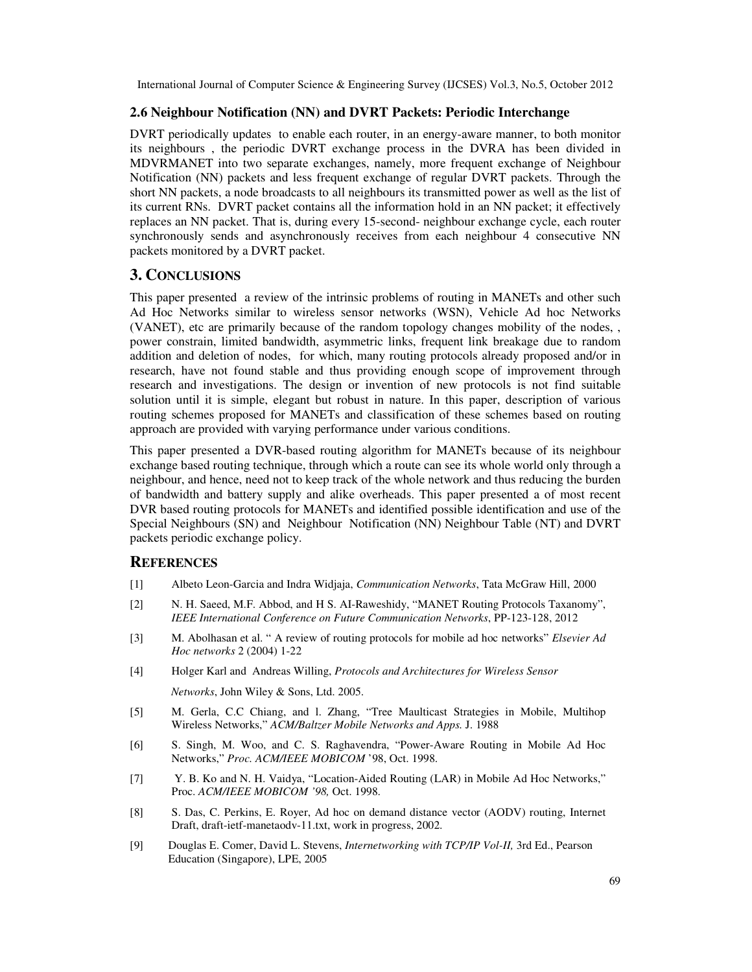### **2.6 Neighbour Notification (NN) and DVRT Packets: Periodic Interchange**

DVRT periodically updates to enable each router, in an energy-aware manner, to both monitor its neighbours , the periodic DVRT exchange process in the DVRA has been divided in MDVRMANET into two separate exchanges, namely, more frequent exchange of Neighbour Notification (NN) packets and less frequent exchange of regular DVRT packets. Through the short NN packets, a node broadcasts to all neighbours its transmitted power as well as the list of its current RNs. DVRT packet contains all the information hold in an NN packet; it effectively replaces an NN packet. That is, during every 15-second- neighbour exchange cycle, each router synchronously sends and asynchronously receives from each neighbour 4 consecutive NN packets monitored by a DVRT packet.

# **3. CONCLUSIONS**

This paper presented a review of the intrinsic problems of routing in MANETs and other such Ad Hoc Networks similar to wireless sensor networks (WSN), Vehicle Ad hoc Networks (VANET), etc are primarily because of the random topology changes mobility of the nodes, , power constrain, limited bandwidth, asymmetric links, frequent link breakage due to random addition and deletion of nodes, for which, many routing protocols already proposed and/or in research, have not found stable and thus providing enough scope of improvement through research and investigations. The design or invention of new protocols is not find suitable solution until it is simple, elegant but robust in nature. In this paper, description of various routing schemes proposed for MANETs and classification of these schemes based on routing approach are provided with varying performance under various conditions.

This paper presented a DVR-based routing algorithm for MANETs because of its neighbour exchange based routing technique, through which a route can see its whole world only through a neighbour, and hence, need not to keep track of the whole network and thus reducing the burden of bandwidth and battery supply and alike overheads. This paper presented a of most recent DVR based routing protocols for MANETs and identified possible identification and use of the Special Neighbours (SN) and Neighbour Notification (NN) Neighbour Table (NT) and DVRT packets periodic exchange policy.

# **REFERENCES**

- [1] Albeto Leon-Garcia and Indra Widjaja, *Communication Networks*, Tata McGraw Hill, 2000
- [2] N. H. Saeed, M.F. Abbod, and H S. AI-Raweshidy, "MANET Routing Protocols Taxanomy", *IEEE International Conference on Future Communication Networks*, PP-123-128, 2012
- [3] M. Abolhasan et al. " A review of routing protocols for mobile ad hoc networks" *Elsevier Ad Hoc networks* 2 (2004) 1-22
- [4] Holger Karl and Andreas Willing, *Protocols and Architectures for Wireless Sensor*

*Networks*, John Wiley & Sons, Ltd. 2005.

- [5] M. Gerla, C.C Chiang, and l. Zhang, "Tree Maulticast Strategies in Mobile, Multihop Wireless Networks," *ACM/Baltzer Mobile Networks and Apps.* J. 1988
- [6] S. Singh, M. Woo, and C. S. Raghavendra, "Power-Aware Routing in Mobile Ad Hoc Networks," *Proc. ACM/IEEE MOBICOM* '98, Oct. 1998.
- [7] Y. B. Ko and N. H. Vaidya, "Location-Aided Routing (LAR) in Mobile Ad Hoc Networks," Proc. *ACM/IEEE MOBICOM '98,* Oct. 1998.
- [8] S. Das, C. Perkins, E. Royer, Ad hoc on demand distance vector (AODV) routing, Internet Draft, draft-ietf-manetaodv-11.txt, work in progress, 2002.
- [9] Douglas E. Comer, David L. Stevens, *Internetworking with TCP/IP Vol-II,* 3rd Ed., Pearson Education (Singapore), LPE, 2005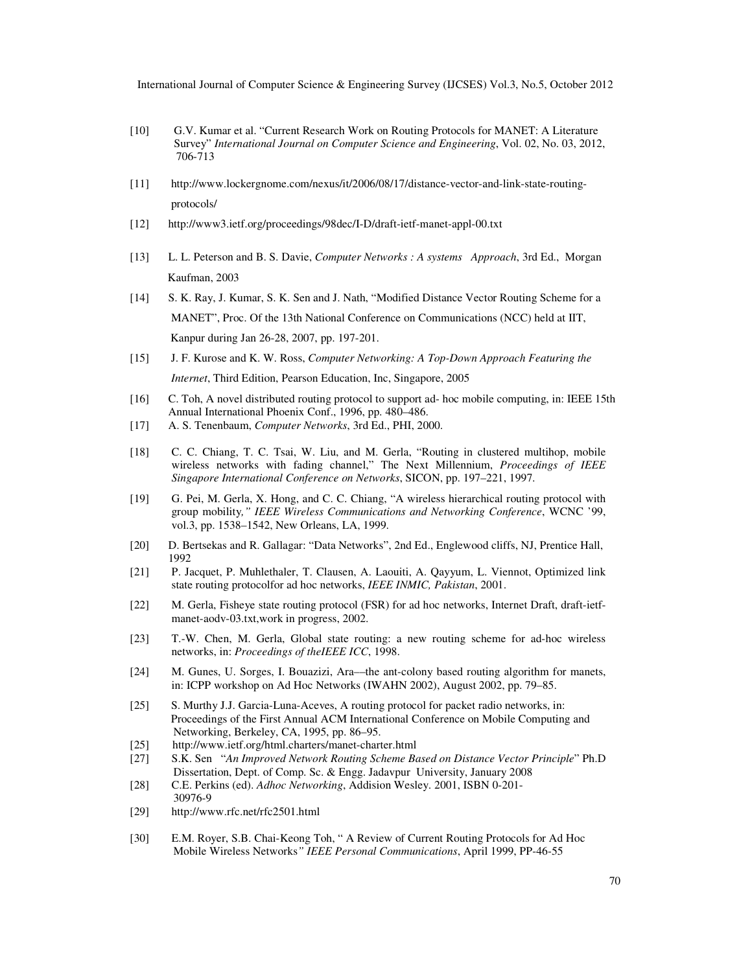- [10] G.V. Kumar et al. "Current Research Work on Routing Protocols for MANET: A Literature Survey" *International Journal on Computer Science and Engineering*, Vol. 02, No. 03, 2012, 706-713
- [11] http://www.lockergnome.com/nexus/it/2006/08/17/distance-vector-and-link-state-routing protocols/
- [12] http://www3.ietf.org/proceedings/98dec/I-D/draft-ietf-manet-appl-00.txt
- [13] L. L. Peterson and B. S. Davie, *Computer Networks : A systems Approach*, 3rd Ed., Morgan Kaufman, 2003
- [14] S. K. Ray, J. Kumar, S. K. Sen and J. Nath, "Modified Distance Vector Routing Scheme for a MANET", Proc. Of the 13th National Conference on Communications (NCC) held at IIT, Kanpur during Jan 26-28, 2007, pp. 197-201.
- [15] J. F. Kurose and K. W. Ross, *Computer Networking: A Top-Down Approach Featuring the Internet*, Third Edition, Pearson Education, Inc, Singapore, 2005
- [16] C. Toh, A novel distributed routing protocol to support ad- hoc mobile computing, in: IEEE 15th Annual International Phoenix Conf., 1996, pp. 480–486.
- [17] A. S. Tenenbaum, *Computer Networks*, 3rd Ed., PHI, 2000.
- [18] C. C. Chiang, T. C. Tsai, W. Liu, and M. Gerla, "Routing in clustered multihop, mobile wireless networks with fading channel," The Next Millennium, *Proceedings of IEEE Singapore International Conference on Networks*, SICON, pp. 197–221, 1997.
- [19] G. Pei, M. Gerla, X. Hong, and C. C. Chiang, "A wireless hierarchical routing protocol with group mobility*," IEEE Wireless Communications and Networking Conference*, WCNC '99, vol.3, pp. 1538–1542, New Orleans, LA, 1999.
- [20] D. Bertsekas and R. Gallagar: "Data Networks", 2nd Ed., Englewood cliffs, NJ, Prentice Hall, 1992
- [21] P. Jacquet, P. Muhlethaler, T. Clausen, A. Laouiti, A. Qayyum, L. Viennot, Optimized link state routing protocolfor ad hoc networks, *IEEE INMIC, Pakistan*, 2001.
- [22] M. Gerla, Fisheye state routing protocol (FSR) for ad hoc networks, Internet Draft, draft-ietfmanet-aodv-03.txt,work in progress, 2002.
- [23] T.-W. Chen, M. Gerla, Global state routing: a new routing scheme for ad-hoc wireless networks, in: *Proceedings of theIEEE ICC*, 1998.
- [24] M. Gunes, U. Sorges, I. Bouazizi, Ara––the ant-colony based routing algorithm for manets, in: ICPP workshop on Ad Hoc Networks (IWAHN 2002), August 2002, pp. 79–85.
- [25] S. Murthy J.J. Garcia-Luna-Aceves, A routing protocol for packet radio networks, in: Proceedings of the First Annual ACM International Conference on Mobile Computing and Networking, Berkeley, CA, 1995, pp. 86–95.
- [25] http://www.ietf.org/html.charters/manet-charter.html
- [27] S.K. Sen "*An Improved Network Routing Scheme Based on Distance Vector Principle*" Ph.D Dissertation, Dept. of Comp. Sc. & Engg. Jadavpur University, January 2008
- [28] C.E. Perkins (ed). *Adhoc Networking*, Addision Wesley. 2001, ISBN 0-201- 30976-9
- [29] http://www.rfc.net/rfc2501.html
- [30] E.M. Royer, S.B. Chai-Keong Toh, " A Review of Current Routing Protocols for Ad Hoc Mobile Wireless Networks*" IEEE Personal Communications*, April 1999, PP-46-55